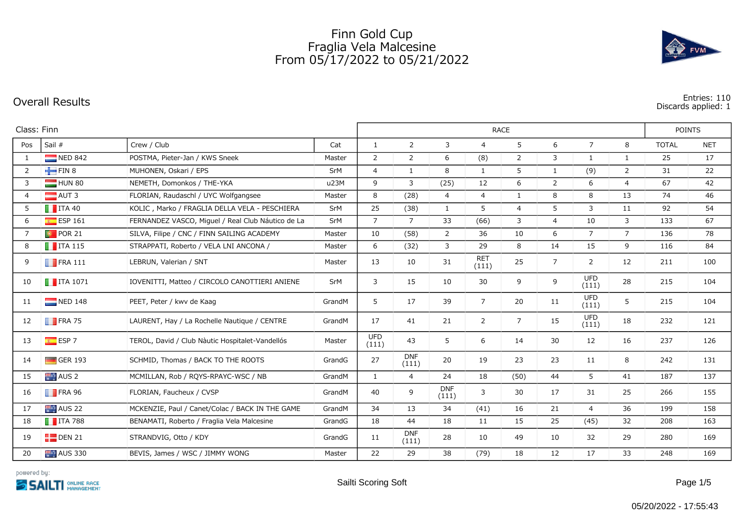## Finn Gold Cup Fraglia Vela Malcesine From 05/17/2022 to 05/21/2022





**Discards applied: 1**

| Class: Finn    |                         |                                                   |        |                     |                     | <b>POINTS</b>       |                     |                |                |                     |                |              |            |
|----------------|-------------------------|---------------------------------------------------|--------|---------------------|---------------------|---------------------|---------------------|----------------|----------------|---------------------|----------------|--------------|------------|
| Pos            | Sail #                  | Crew / Club                                       | Cat    | $\mathbf{1}$        | $\overline{2}$      | 3                   | $\overline{4}$      | 5              | 6              | $\overline{7}$      | 8              | <b>TOTAL</b> | <b>NET</b> |
| 1              | NED 842                 | POSTMA, Pieter-Jan / KWS Sneek                    | Master | $\overline{2}$      | $\overline{2}$      | 6                   | (8)                 | 2              | 3              | $\mathbf{1}$        | $\mathbf{1}$   | 25           | 17         |
| $\overline{2}$ | $-FIN 8$                | MUHONEN, Oskari / EPS                             | SrM    | $\overline{4}$      | $\mathbf{1}$        | 8                   | $\mathbf{1}$        | 5              | $\mathbf{1}$   | (9)                 | $\overline{2}$ | 31           | 22         |
| $\mathbf{3}$   | HUN 80                  | NÉMETH, Domonkos / THE-YKA                        | u23M   | 9                   | 3                   | (25)                | 12                  | 6              | $\overline{2}$ | 6                   | $\overline{4}$ | 67           | 42         |
| $\overline{4}$ | $\blacksquare$ AUT 3    | FLORIAN, Raudaschl / UYC Wolfgangsee              | Master | 8                   | (28)                | $\overline{4}$      | $\overline{4}$      | $\mathbf{1}$   | 8              | 8                   | 13             | 74           | 46         |
| 5              | $\blacksquare$ ITA 40   | KOLIC, Marko / FRAGLIA DELLA VELA - PESCHIERA     | SrM    | 25                  | (38)                | $\mathbf{1}$        | 5                   | $\overline{4}$ | 5              | 3                   | 11             | 92           | 54         |
| 6              | $E$ ESP 161             | FERNANDEZ VASCO, Miguel / Real Club Náutico de La | SrM    | $\overline{7}$      | $\overline{7}$      | 33                  | (66)                | 3              | $\overline{4}$ | 10                  | 3              | 133          | 67         |
| $\overline{7}$ | $\bullet$ POR 21        | SILVA, Filipe / CNC / FINN SAILING ACADEMY        | Master | 10                  | (58)                | $\overline{2}$      | 36                  | 10             | 6              | $\overline{7}$      | $\overline{7}$ | 136          | 78         |
| 8              | $\blacksquare$ ITA 115  | STRAPPATI, Roberto / VELA LNI ANCONA /            | Master | 6                   | (32)                | 3                   | 29                  | 8              | 14             | 15                  | 9              | 116          | 84         |
| 9              | $\blacksquare$ FRA 111  | LEBRUN, Valerian / SNT                            | Master | 13                  | 10                  | 31                  | <b>RET</b><br>(111) | 25             | $\overline{7}$ | 2                   | 12             | 211          | 100        |
| 10             | $\blacksquare$ ITA 1071 | IOVENITTI, Matteo / CIRCOLO CANOTTIERI ANIENE     | SrM    | 3                   | 15                  | 10                  | 30                  | 9              | 9              | <b>UFD</b><br>(111) | 28             | 215          | 104        |
| 11             | NED 148                 | PEET, Peter / kwv de Kaag                         | GrandM | 5                   | 17                  | 39                  | $\overline{7}$      | 20             | 11             | <b>UFD</b><br>(111) | 5              | 215          | 104        |
| 12             | $\blacksquare$ FRA 75   | LAURENT, Hay / La Rochelle Nautique / CENTRE      | GrandM | 17                  | 41                  | 21                  | $\overline{2}$      | 7              | 15             | <b>UFD</b><br>(111) | 18             | 232          | 121        |
| 13             | $ESP$ 7                 | TEROL, David / Club Nàutic Hospitalet-Vandellós   | Master | <b>UFD</b><br>(111) | 43                  | 5                   | 6                   | 14             | 30             | 12                  | 16             | 237          | 126        |
| 14             | $\Box$ GER 193          | SCHMID, Thomas / BACK TO THE ROOTS                | GrandG | 27                  | <b>DNF</b><br>(111) | 20                  | 19                  | 23             | 23             | 11                  | 8              | 242          | 131        |
| 15             | AUS <sub>2</sub>        | MCMILLAN, Rob / ROYS-RPAYC-WSC / NB               | GrandM | $\mathbf{1}$        | $\overline{4}$      | 24                  | 18                  | (50)           | 44             | 5 <sup>5</sup>      | 41             | 187          | 137        |
| 16             | $\blacksquare$ FRA 96   | FLORIAN, Faucheux / CVSP                          | GrandM | 40                  | 9                   | <b>DNF</b><br>(111) | 3                   | 30             | 17             | 31                  | 25             | 266          | 155        |
| 17             | AUS <sub>22</sub>       | MCKENZIE, Paul / Canet/Colac / BACK IN THE GAME   | GrandM | 34                  | 13                  | 34                  | (41)                | 16             | 21             | $\overline{4}$      | 36             | 199          | 158        |
| 18             | $\blacksquare$ ITA 788  | BENAMATI, Roberto / Fraglia Vela Malcesine        | GrandG | 18                  | 44                  | 18                  | 11                  | 15             | 25             | (45)                | 32             | 208          | 163        |
| 19             | $\Gamma$ DEN 21         | STRANDVIG, Otto / KDY                             | GrandG | 11                  | <b>DNF</b><br>(111) | 28                  | 10                  | 49             | 10             | 32                  | 29             | 280          | 169        |
| 20             | <b>AUS 330</b>          | BEVIS, James / WSC / JIMMY WONG                   | Master | 22                  | 29                  | 38                  | (79)                | 18             | 12             | 17                  | 33             | 248          | 169        |

powered by: **SSAILTI ONLINE RACE**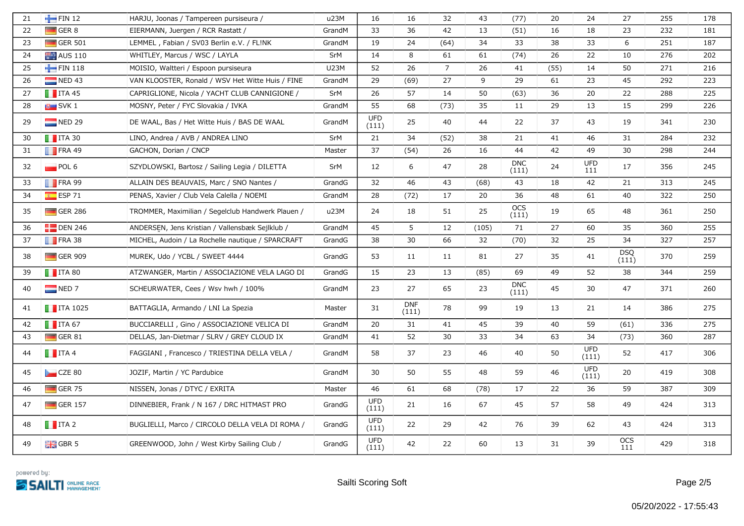| 21 | FIN 12                  | HARJU, Joonas / Tampereen pursiseura /            | u23M        | 16                  | 16                  | 32             | 43    | (77)                | 20   | 24                  | 27                  | 255 | 178 |
|----|-------------------------|---------------------------------------------------|-------------|---------------------|---------------------|----------------|-------|---------------------|------|---------------------|---------------------|-----|-----|
| 22 | $\Box$ GER 8            | EIERMANN, Juergen / RCR Rastatt /                 | GrandM      | 33                  | 36                  | 42             | 13    | (51)                | 16   | 18                  | 23                  | 232 | 181 |
| 23 | $\Box$ GER 501          | LEMMEL, Fabian / SV03 Berlin e.V. / FL!NK         | GrandM      | 19                  | 24                  | (64)           | 34    | 33                  | 38   | 33                  | 6                   | 251 | 187 |
| 24 | <b>AUS 110</b>          | WHITLEY, Marcus / WSC / LAYLA                     | SrM         | 14                  | 8                   | 61             | 61    | (74)                | 26   | 22                  | 10                  | 276 | 202 |
| 25 | FIN 118                 | MOISIO, Waltteri / Espoon pursiseura              | <b>U23M</b> | 52                  | 26                  | $\overline{7}$ | 26    | 41                  | (55) | 14                  | 50                  | 271 | 216 |
| 26 | $NED$ 43                | VAN KLOOSTER, Ronald / WSV Het Witte Huis / FINE  | GrandM      | 29                  | (69)                | 27             | 9     | 29                  | 61   | 23                  | 45                  | 292 | 223 |
| 27 | $\blacksquare$ ITA 45   | CAPRIGLIONE, Nicola / YACHT CLUB CANNIGIONE /     | SrM         | 26                  | 57                  | 14             | 50    | (63)                | 36   | 20                  | 22                  | 288 | 225 |
| 28 | $\blacksquare$ SVK 1    | MOSNY, Peter / FYC Slovakia / IVKA                | GrandM      | 55                  | 68                  | (73)           | 35    | 11                  | 29   | 13                  | 15                  | 299 | 226 |
| 29 | $\blacksquare$ NED 29   | DE WAAL, Bas / Het Witte Huis / BAS DE WAAL       | GrandM      | <b>UFD</b><br>(111) | 25                  | 40             | 44    | 22                  | 37   | 43                  | 19                  | 341 | 230 |
| 30 | $\blacksquare$ ITA 30   | LINO, Andrea / AVB / ANDREA LINO                  | SrM         | 21                  | 34                  | (52)           | 38    | 21                  | 41   | 46                  | 31                  | 284 | 232 |
| 31 | $\blacksquare$ FRA 49   | GACHON, Dorian / CNCP                             | Master      | 37                  | (54)                | 26             | 16    | 44                  | 42   | 49                  | 30                  | 298 | 244 |
| 32 | POL 6                   | SZYDLOWSKI, Bartosz / Sailing Legia / DILETTA     | SrM         | 12                  | 6                   | 47             | 28    | <b>DNC</b><br>(111) | 24   | <b>UFD</b><br>111   | 17                  | 356 | 245 |
| 33 | $\blacksquare$ FRA 99   | ALLAIN DES BEAUVAIS, Marc / SNO Nantes /          | GrandG      | 32                  | 46                  | 43             | (68)  | 43                  | 18   | 42                  | 21                  | 313 | 245 |
| 34 | $\overline{S}$ ESP 71   | PENAS, Xavier / Club Vela Calella / NOEMI         | GrandM      | 28                  | (72)                | 17             | 20    | 36                  | 48   | 61                  | 40                  | 322 | 250 |
| 35 | $\blacksquare$ GER 286  | TROMMER, Maximilian / Segelclub Handwerk Plauen / | u23M        | 24                  | 18                  | 51             | 25    | <b>OCS</b><br>(111) | 19   | 65                  | 48                  | 361 | 250 |
| 36 | $\Box$ DEN 246          | ANDERSEN, Jens Kristian / Vallensbæk Sejlklub /   | GrandM      | 45                  | 5                   | 12             | (105) | 71                  | 27   | 60                  | 35                  | 360 | 255 |
| 37 | $\blacksquare$ FRA 38   | MICHEL, Audoin / La Rochelle nautique / SPARCRAFT | GrandG      | 38                  | 30                  | 66             | 32    | (70)                | 32   | 25                  | 34                  | 327 | 257 |
| 38 | $\Box$ GER 909          | MUREK, Udo / YCBL / SWEET 4444                    | GrandG      | 53                  | 11                  | 11             | 81    | 27                  | 35   | 41                  | <b>DSQ</b><br>(111) | 370 | 259 |
| 39 | $\blacksquare$ ITA 80   | ATZWANGER, Martin / ASSOCIAZIONE VELA LAGO DI     | GrandG      | 15                  | 23                  | 13             | (85)  | 69                  | 49   | 52                  | 38                  | 344 | 259 |
| 40 | $\blacksquare$ NED 7    | SCHEURWATER, Cees / Wsv hwh / 100%                | GrandM      | 23                  | 27                  | 65             | 23    | <b>DNC</b><br>(111) | 45   | 30                  | 47                  | 371 | 260 |
| 41 | $\blacksquare$ ITA 1025 | BATTAGLIA, Armando / LNI La Spezia                | Master      | 31                  | <b>DNF</b><br>(111) | 78             | 99    | 19                  | 13   | 21                  | 14                  | 386 | 275 |
| 42 | $\blacksquare$ ITA 67   | BUCCIARELLI, Gino / ASSOCIAZIONE VELICA DI        | GrandM      | 20                  | 31                  | 41             | 45    | 39                  | 40   | 59                  | (61)                | 336 | 275 |
| 43 | $\Box$ GER 81           | DELLAS, Jan-Dietmar / SLRV / GREY CLOUD IX        | GrandM      | 41                  | 52                  | 30             | 33    | 34                  | 63   | 34                  | (73)                | 360 | 287 |
| 44 | $\blacksquare$ ITA 4    | FAGGIANI, Francesco / TRIESTINA DELLA VELA /      | GrandM      | 58                  | 37                  | 23             | 46    | 40                  | 50   | <b>UFD</b><br>(111) | 52                  | 417 | 306 |
| 45 | $\Box$ CZE 80           | JOZIF, Martin / YC Pardubice                      | GrandM      | 30                  | 50                  | 55             | 48    | 59                  | 46   | <b>UFD</b><br>(111) | 20                  | 419 | 308 |
| 46 | $\blacksquare$ GER 75   | NISSEN, Jonas / DTYC / EXRITA                     | Master      | 46                  | 61                  | 68             | (78)  | 17                  | 22   | 36                  | 59                  | 387 | 309 |
| 47 | $\Box$ GER 157          | DINNEBIER, Frank / N 167 / DRC HITMAST PRO        | GrandG      | <b>UFD</b><br>(111) | 21                  | 16             | 67    | 45                  | 57   | 58                  | 49                  | 424 | 313 |
| 48 | $\blacksquare$ ITA 2    | BUGLIELLI, Marco / CIRCOLO DELLA VELA DI ROMA /   | GrandG      | <b>UFD</b><br>(111) | 22                  | 29             | 42    | 76                  | 39   | 62                  | 43                  | 424 | 313 |
| 49 | $\frac{1}{2}$ GBR 5     | GREENWOOD, John / West Kirby Sailing Club /       | GrandG      | <b>UFD</b><br>(111) | 42                  | 22             | 60    | 13                  | 31   | 39                  | OCS<br>111          | 429 | 318 |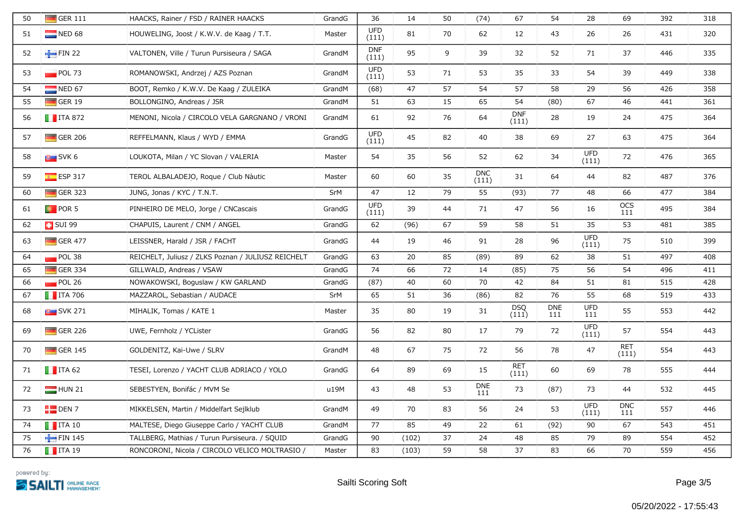| 50 | $\blacksquare$ GER 111        | HAACKS, Rainer / FSD / RAINER HAACKS               | GrandG | 36                  | 14    | 50 | (74)                | 67                  | 54                | 28                  | 69                  | 392 | 318 |
|----|-------------------------------|----------------------------------------------------|--------|---------------------|-------|----|---------------------|---------------------|-------------------|---------------------|---------------------|-----|-----|
| 51 | $\blacksquare$ NED 68         | HOUWELING, Joost / K.W.V. de Kaag / T.T.           | Master | <b>UFD</b><br>(111) | 81    | 70 | 62                  | 12                  | 43                | 26                  | 26                  | 431 | 320 |
| 52 | FIN 22                        | VALTONEN, Ville / Turun Pursiseura / SAGA          | GrandM | <b>DNF</b><br>(111) | 95    | 9  | 39                  | 32                  | 52                | 71                  | 37                  | 446 | 335 |
| 53 | $\blacksquare$ POL 73         | ROMANOWSKI, Andrzej / AZS Poznan                   | GrandM | <b>UFD</b><br>(111) | 53    | 71 | 53                  | 35                  | 33                | 54                  | 39                  | 449 | 338 |
| 54 | NED 67                        | BOOT, Remko / K.W.V. De Kaag / ZULEIKA             | GrandM | (68)                | 47    | 57 | 54                  | 57                  | 58                | 29                  | 56                  | 426 | 358 |
| 55 | $\blacksquare$ GER 19         | BOLLONGINO, Andreas / JSR                          | GrandM | 51                  | 63    | 15 | 65                  | 54                  | (80)              | 67                  | 46                  | 441 | 361 |
| 56 | $\blacksquare$ ITA 872        | MENONI, Nicola / CIRCOLO VELA GARGNANO / VRONI     | GrandM | 61                  | 92    | 76 | 64                  | <b>DNF</b><br>(111) | 28                | 19                  | 24                  | 475 | 364 |
| 57 | $\Box$ GER 206                | REFFELMANN, Klaus / WYD / EMMA                     | GrandG | <b>UFD</b><br>(111) | 45    | 82 | 40                  | 38                  | 69                | 27                  | 63                  | 475 | 364 |
| 58 | $\overline{\mathsf{S}}$ SVK 6 | LOUKOTA, Milan / YC Slovan / VALERIA               | Master | 54                  | 35    | 56 | 52                  | 62                  | 34                | UFD<br>(111)        | 72                  | 476 | 365 |
| 59 | $E$ ESP 317                   | TEROL ALBALADEJO, Roque / Club Nàutic              | Master | 60                  | 60    | 35 | <b>DNC</b><br>(111) | 31                  | 64                | 44                  | 82                  | 487 | 376 |
| 60 | $\Box$ GER 323                | JUNG, Jonas / KYC / T.N.T.                         | SrM    | 47                  | 12    | 79 | 55                  | (93)                | 77                | 48                  | 66                  | 477 | 384 |
| 61 | $\bullet$ POR 5               | PINHEIRO DE MELO, Jorge / CNCascais                | GrandG | <b>UFD</b><br>(111) | 39    | 44 | 71                  | 47                  | 56                | 16                  | OCS<br>111          | 495 | 384 |
| 62 | <b>E</b> SUI 99               | CHAPUIS, Laurent / CNM / ANGEL                     | GrandG | 62                  | (96)  | 67 | 59                  | 58                  | 51                | 35                  | 53                  | 481 | 385 |
| 63 | $\Box$ GER 477                | LEISSNER, Harald / JSR / FACHT                     | GrandG | 44                  | 19    | 46 | 91                  | 28                  | 96                | <b>UFD</b><br>(111) | 75                  | 510 | 399 |
| 64 | $POL$ 38                      | REICHELT, Juliusz / ZLKS Poznan / JULIUSZ REICHELT | GrandG | 63                  | 20    | 85 | (89)                | 89                  | 62                | 38                  | 51                  | 497 | 408 |
| 65 | $\Box$ GER 334                | GILLWALD, Andreas / VSAW                           | GrandG | 74                  | 66    | 72 | 14                  | (85)                | 75                | 56                  | 54                  | 496 | 411 |
| 66 | POL 26                        | NOWAKOWSKI, Boguslaw / KW GARLAND                  | GrandG | (87)                | 40    | 60 | 70                  | 42                  | 84                | 51                  | 81                  | 515 | 428 |
| 67 | $\blacksquare$ ITA 706        | MAZZAROL, Sebastian / AUDACE                       | SrM    | 65                  | 51    | 36 | (86)                | 82                  | 76                | 55                  | 68                  | 519 | 433 |
| 68 | $\blacksquare$ SVK 271        | MIHALIK, Tomas / KATE 1                            | Master | 35                  | 80    | 19 | 31                  | <b>DSQ</b><br>(111) | <b>DNE</b><br>111 | <b>UFD</b><br>111   | 55                  | 553 | 442 |
| 69 | $\Box$ GER 226                | UWE, Fernholz / YCLister                           | GrandG | 56                  | 82    | 80 | 17                  | 79                  | 72                | <b>UFD</b><br>(111) | 57                  | 554 | 443 |
| 70 | $\Box$ GER 145                | GÖLDENITZ, Kai-Uwe / SLRV                          | GrandM | 48                  | 67    | 75 | 72                  | 56                  | 78                | 47                  | <b>RET</b><br>(111) | 554 | 443 |
| 71 | $\blacksquare$ ITA 62         | TESEI, Lorenzo / YACHT CLUB ADRIACO / YOLO         | GrandG | 64                  | 89    | 69 | 15                  | <b>RET</b><br>(111) | 60                | 69                  | 78                  | 555 | 444 |
| 72 | $\blacksquare$ HUN 21         | SEBESTYÉN, Bonifác / MVM Se                        | u19M   | 43                  | 48    | 53 | <b>DNE</b><br>111   | 73                  | (87)              | 73                  | 44                  | 532 | 445 |
| 73 | $\Box$ DEN 7                  | MIKKELSEN, Martin / Middelfart Sejlklub            | GrandM | 49                  | 70    | 83 | 56                  | 24                  | 53                | <b>UFD</b><br>(111) | <b>DNC</b><br>111   | 557 | 446 |
| 74 | $\blacksquare$ ITA 10         | MALTESE, Diego Giuseppe Carlo / YACHT CLUB         | GrandM | 77                  | 85    | 49 | 22                  | 61                  | (92)              | 90                  | 67                  | 543 | 451 |
| 75 | FIN 145                       | TALLBERG, Mathias / Turun Pursiseura. / SQUID      | GrandG | 90                  | (102) | 37 | 24                  | 48                  | 85                | 79                  | 89                  | 554 | 452 |
| 76 | $\blacksquare$ ITA 19         | RONCORONI, Nicola / CIRCOLO VELICO MOLTRASIO /     | Master | 83                  | (103) | 59 | 58                  | 37                  | 83                | 66                  | 70                  | 559 | 456 |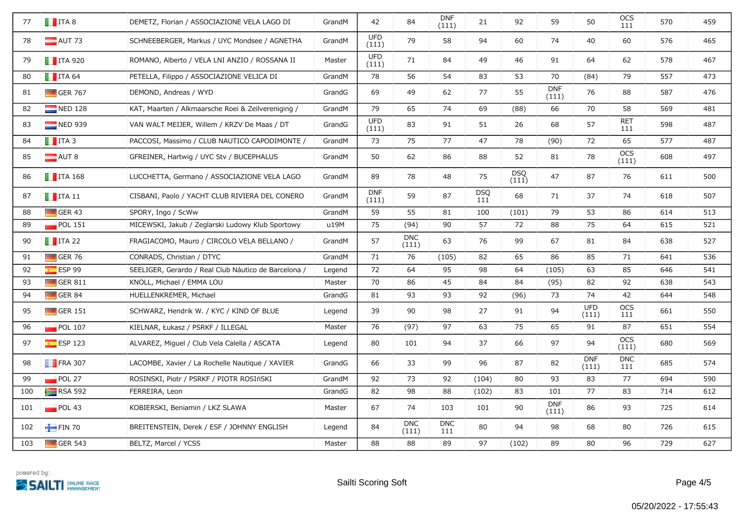| 77  | $\blacksquare$ ITA 8   | DEMETZ, Florian / ASSOCIAZIONE VELA LAGO DI          | GrandM | 42                  | 84                  | <b>DNF</b><br>(111) | 21                | 92                  | 59                  | 50                  | <b>OCS</b><br>111   | 570 | 459 |
|-----|------------------------|------------------------------------------------------|--------|---------------------|---------------------|---------------------|-------------------|---------------------|---------------------|---------------------|---------------------|-----|-----|
| 78  | $\blacksquare$ AUT 73  | SCHNEEBERGER, Markus / UYC Mondsee / AGNETHA         | GrandM | <b>UFD</b><br>(111) | 79                  | 58                  | 94                | 60                  | 74                  | 40                  | 60                  | 576 | 465 |
| 79  | $\blacksquare$ ITA 920 | ROMANO, Alberto / VELA LNI ANZIO / ROSSANA II        | Master | <b>UFD</b><br>(111) | 71                  | 84                  | 49                | 46                  | 91                  | 64                  | 62                  | 578 | 467 |
| 80  | $\blacksquare$ ITA 64  | PETELLA, Filippo / ASSOCIAZIONE VELICA DI            | GrandM | 78                  | 56                  | 54                  | 83                | 53                  | 70                  | (84)                | 79                  | 557 | 473 |
| 81  | $\Box$ GER 767         | DEMOND, Andreas / WYD                                | GrandG | 69                  | 49                  | 62                  | 77                | 55                  | <b>DNF</b><br>(111) | 76                  | 88                  | 587 | 476 |
| 82  | $\blacksquare$ NED 128 | KAT, Maarten / Alkmaarsche Roei & Zeilvereniging /   | GrandM | 79                  | 65                  | 74                  | 69                | (88)                | 66                  | 70                  | 58                  | 569 | 481 |
| 83  | $\blacksquare$ NED 939 | VAN WALT MEIJER, Willem / KRZV De Maas / DT          | GrandG | <b>UFD</b><br>(111) | 83                  | 91                  | 51                | 26                  | 68                  | 57                  | <b>RET</b><br>111   | 598 | 487 |
| 84  | $\blacksquare$ ITA 3   | PACCOSI, Massimo / CLUB NAUTICO CAPODIMONTE /        | GrandM | 73                  | 75                  | 77                  | 47                | 78                  | (90)                | 72                  | 65                  | 577 | 487 |
| 85  | $\Box$ AUT 8           | GFREINER, Hartwig / UYC Stv / BUCEPHALUS             | GrandM | 50                  | 62                  | 86                  | 88                | 52                  | 81                  | 78                  | OCS<br>(111)        | 608 | 497 |
| 86  | $\blacksquare$ ITA 168 | LUCCHETTA, Germano / ASSOCIAZIONE VELA LAGO          | GrandM | 89                  | 78                  | 48                  | 75                | <b>DSO</b><br>(111) | 47                  | 87                  | 76                  | 611 | 500 |
| 87  | $\blacksquare$ ITA 11  | CISBANI, Paolo / YACHT CLUB RIVIERA DEL CONERO       | GrandM | <b>DNF</b><br>(111) | 59                  | 87                  | <b>DSQ</b><br>111 | 68                  | 71                  | 37                  | 74                  | 618 | 507 |
| 88  | $\Box$ GER 43          | SPORY, Ingo / ScWw                                   | GrandM | 59                  | 55                  | 81                  | 100               | (101)               | 79                  | 53                  | 86                  | 614 | 513 |
| 89  | $\Box$ POL 151         | MICEWSKI, Jakub / Zeglarski Ludowy Klub Sportowy     | u19M   | 75                  | (94)                | 90                  | 57                | 72                  | 88                  | 75                  | 64                  | 615 | 521 |
| 90  | $\blacksquare$ ITA 22  | FRAGIACOMO, Mauro / CIRCOLO VELA BELLANO /           | GrandM | 57                  | <b>DNC</b><br>(111) | 63                  | 76                | 99                  | 67                  | 81                  | 84                  | 638 | 527 |
| 91  | $\blacksquare$ GER 76  | CONRADS, Christian / DTYC                            | GrandM | 71                  | 76                  | (105)               | 82                | 65                  | 86                  | 85                  | 71                  | 641 | 536 |
| 92  | ESP99                  | SEELIGER, Gerardo / Real Club Náutico de Barcelona / | Legend | 72                  | 64                  | 95                  | 98                | 64                  | (105)               | 63                  | 85                  | 646 | 541 |
| 93  | $\Box$ GER 811         | KNOLL, Michael / EMMA LOU                            | Master | 70                  | 86                  | 45                  | 84                | 84                  | (95)                | 82                  | 92                  | 638 | 543 |
| 94  | GER 84                 | HUELLENKREMER, Michael                               | GrandG | 81                  | 93                  | 93                  | 92                | (96)                | 73                  | 74                  | 42                  | 644 | 548 |
| 95  | $\Box$ GER 151         | SCHWARZ, Hendrik W. / KYC / KIND OF BLUE             | Legend | 39                  | 90                  | 98                  | 27                | 91                  | 94                  | <b>UFD</b><br>(111) | OCS<br>111          | 661 | 550 |
| 96  | $\blacksquare$ POL 107 | KIELNAR, Łukasz / PSRKF / ILLEGAL                    | Master | 76                  | (97)                | 97                  | 63                | 75                  | 65                  | 91                  | 87                  | 651 | 554 |
| 97  | $E$ ESP 123            | ALVAREZ, Miguel / Club Vela Calella / ASCATA         | Legend | 80                  | 101                 | 94                  | 37                | 66                  | 97                  | 94                  | <b>OCS</b><br>(111) | 680 | 569 |
| 98  | $\blacksquare$ FRA 307 | LACOMBE, Xavier / La Rochelle Nautique / XAVIER      | GrandG | 66                  | 33                  | 99                  | 96                | 87                  | 82                  | <b>DNF</b><br>(111) | <b>DNC</b><br>111   | 685 | 574 |
| 99  | POL 27                 | ROSINSKI, Piotr / PSRKF / PIOTR ROSIńSKI             | GrandM | 92                  | 73                  | 92                  | (104)             | 80                  | 93                  | 83                  | 77                  | 694 | 590 |
| 100 | <b>EXAMPLE RSA 592</b> | FERREIRA, Leon                                       | GrandG | 82                  | 98                  | 88                  | (102)             | 83                  | 101                 | 77                  | 83                  | 714 | 612 |
| 101 | $\blacksquare$ POL 43  | KOBIERSKI, Beniamin / LKZ SLAWA                      | Master | 67                  | 74                  | 103                 | 101               | 90                  | <b>DNF</b><br>(111) | 86                  | 93                  | 725 | 614 |
| 102 | $-$ FIN 70             | BREITENSTEIN, Derek / ESF / JOHNNY ENGLISH           | Legend | 84                  | <b>DNC</b><br>(111) | <b>DNC</b><br>111   | 80                | 94                  | 98                  | 68                  | 80                  | 726 | 615 |
| 103 | $\Box$ GER 543         | BELTZ, Marcel / YCSS                                 | Master | 88                  | 88                  | 89                  | 97                | (102)               | 89                  | 80                  | 96                  | 729 | 627 |